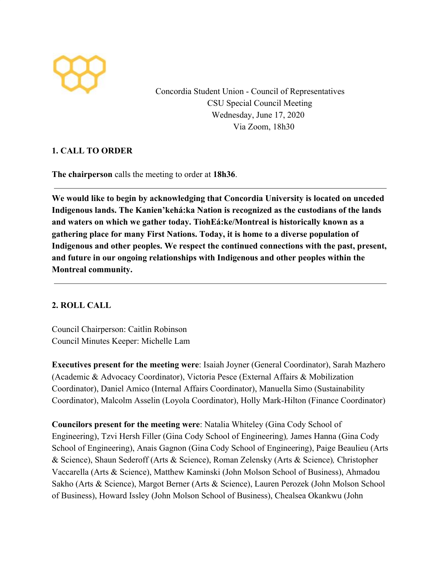

Concordia Student Union - Council of Representatives CSU Special Council Meeting Wednesday, June 17, 2020 Via Zoom, 18h30

# **1. CALL TO ORDER**

**The chairperson** calls the meeting to order at **18h36**.

**We would like to begin by acknowledging that Concordia University is located on unceded Indigenous lands. The Kanien'kehá:ka Nation is recognized as the custodians of the lands and waters on which we gather today. TiohEá:ke/Montreal is historically known as a gathering place for many First Nations. Today, it is home to a diverse population of Indigenous and other peoples. We respect the continued connections with the past, present, and future in our ongoing relationships with Indigenous and other peoples within the Montreal community.**

# **2. ROLL CALL**

Council Chairperson: Caitlin Robinson Council Minutes Keeper: Michelle Lam

**Executives present for the meeting were**: Isaiah Joyner (General Coordinator), Sarah Mazhero (Academic & Advocacy Coordinator), Victoria Pesce (External Affairs & Mobilization Coordinator), Daniel Amico (Internal Affairs Coordinator), Manuella Simo (Sustainability Coordinator), Malcolm Asselin (Loyola Coordinator), Holly Mark-Hilton (Finance Coordinator)

**Councilors present for the meeting were**: Natalia Whiteley (Gina Cody School of Engineering), Tzvi Hersh Filler (Gina Cody School of Engineering)*,* James Hanna (Gina Cody School of Engineering), Anais Gagnon (Gina Cody School of Engineering), Paige Beaulieu (Arts & Science), Shaun Sederoff (Arts & Science), Roman Zelensky (Arts & Science)*,* Christopher Vaccarella (Arts & Science), Matthew Kaminski (John Molson School of Business), Ahmadou Sakho (Arts & Science), Margot Berner (Arts & Science), Lauren Perozek (John Molson School of Business), Howard Issley (John Molson School of Business), Chealsea Okankwu (John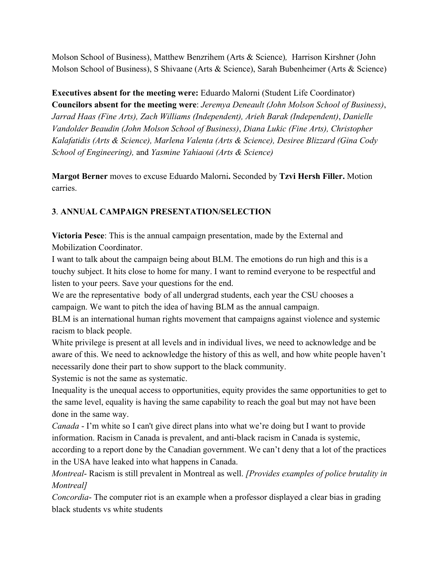Molson School of Business), Matthew Benzrihem (Arts & Science)*,* Harrison Kirshner (John Molson School of Business), S Shivaane (Arts & Science), Sarah Bubenheimer (Arts & Science)

**Executives absent for the meeting were:** Eduardo Malorni (Student Life Coordinator) **Councilors absent for the meeting were**: *Jeremya Deneault (John Molson School of Business)*, *Jarrad Haas (Fine Arts), Zach Williams (Independent), Arieh Barak (Independent)*, *Danielle Vandolder Beaudin (John Molson School of Business)*, *Diana Lukic (Fine Arts), Christopher Kalafatidis (Arts & Science), Marlena Valenta (Arts & Science), Desiree Blizzard (Gina Cody School of Engineering),* and *Yasmine Yahiaoui (Arts & Science)*

**Margot Berner** moves to excuse Eduardo Malorni**.** Seconded by **Tzvi Hersh Filler.** Motion carries.

# **3**. **ANNUAL CAMPAIGN PRESENTATION/SELECTION**

**Victoria Pesce**: This is the annual campaign presentation, made by the External and Mobilization Coordinator.

I want to talk about the campaign being about BLM. The emotions do run high and this is a touchy subject. It hits close to home for many. I want to remind everyone to be respectful and listen to your peers. Save your questions for the end.

We are the representative body of all undergrad students, each year the CSU chooses a campaign. We want to pitch the idea of having BLM as the annual campaign.

BLM is an international human rights movement that campaigns against violence and systemic racism to black people.

White privilege is present at all levels and in individual lives, we need to acknowledge and be aware of this. We need to acknowledge the history of this as well, and how white people haven't necessarily done their part to show support to the black community.

Systemic is not the same as systematic.

Inequality is the unequal access to opportunities, equity provides the same opportunities to get to the same level, equality is having the same capability to reach the goal but may not have been done in the same way.

*Canada* - I'm white so I can't give direct plans into what we're doing but I want to provide information. Racism in Canada is prevalent, and anti-black racism in Canada is systemic, according to a report done by the Canadian government. We can't deny that a lot of the practices in the USA have leaked into what happens in Canada.

*Montreal*- Racism is still prevalent in Montreal as well. *[Provides examples of police brutality in Montreal]*

*Concordia*- The computer riot is an example when a professor displayed a clear bias in grading black students vs white students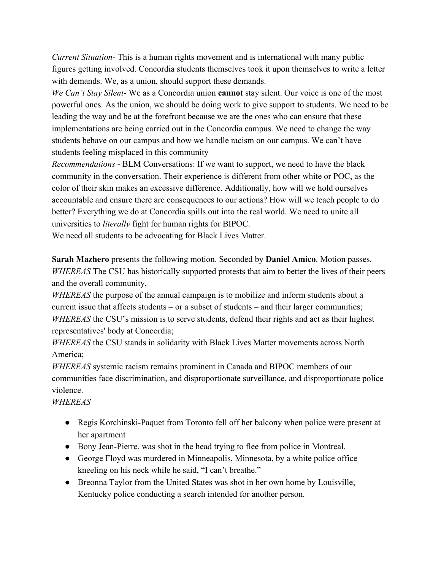*Current Situation*- This is a human rights movement and is international with many public figures getting involved. Concordia students themselves took it upon themselves to write a letter with demands. We, as a union, should support these demands.

*We Can't Stay Silent*- We as a Concordia union **cannot** stay silent. Our voice is one of the most powerful ones. As the union, we should be doing work to give support to students. We need to be leading the way and be at the forefront because we are the ones who can ensure that these implementations are being carried out in the Concordia campus. We need to change the way students behave on our campus and how we handle racism on our campus. We can't have students feeling misplaced in this community

*Recommendations* - BLM Conversations: If we want to support, we need to have the black community in the conversation. Their experience is different from other white or POC, as the color of their skin makes an excessive difference. Additionally, how will we hold ourselves accountable and ensure there are consequences to our actions? How will we teach people to do better? Everything we do at Concordia spills out into the real world. We need to unite all universities to *literally* fight for human rights for BIPOC.

We need all students to be advocating for Black Lives Matter.

**Sarah Mazhero** presents the following motion. Seconded by **Daniel Amico**. Motion passes. *WHEREAS* The CSU has historically supported protests that aim to better the lives of their peers and the overall community,

*WHEREAS* the purpose of the annual campaign is to mobilize and inform students about a current issue that affects students – or a subset of students – and their larger communities; *WHEREAS* the CSU's mission is to serve students, defend their rights and act as their highest representatives' body at Concordia;

*WHEREAS* the CSU stands in solidarity with Black Lives Matter movements across North America;

*WHEREAS* systemic racism remains prominent in Canada and BIPOC members of our communities face discrimination, and disproportionate surveillance, and disproportionate police violence.

# *WHEREAS*

- Regis Korchinski-Paquet from Toronto fell off her balcony when police were present at her apartment
- Bony Jean-Pierre, was shot in the head trying to flee from police in Montreal.
- George Floyd was murdered in Minneapolis, Minnesota, by a white police office kneeling on his neck while he said, "I can't breathe."
- Breonna Taylor from the United States was shot in her own home by Louisville, Kentucky police conducting a search intended for another person.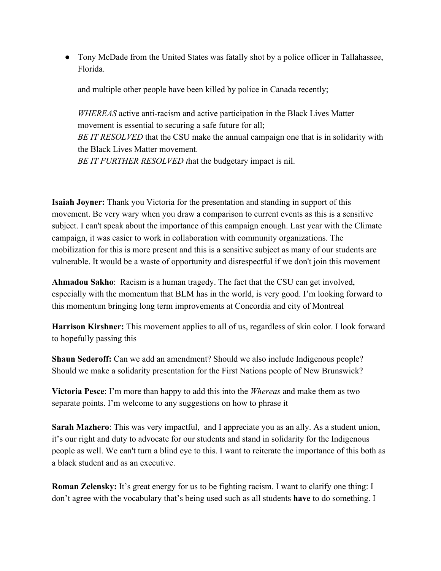• Tony McDade from the United States was fatally shot by a police officer in Tallahassee, Florida.

and multiple other people have been killed by police in Canada recently;

*WHEREAS* active anti-racism and active participation in the Black Lives Matter movement is essential to securing a safe future for all; *BE IT RESOLVED* that the CSU make the annual campaign one that is in solidarity with the Black Lives Matter movement. *BE IT FURTHER RESOLVED t*hat the budgetary impact is nil.

**Isaiah Joyner:** Thank you Victoria for the presentation and standing in support of this movement. Be very wary when you draw a comparison to current events as this is a sensitive subject. I can't speak about the importance of this campaign enough. Last year with the Climate campaign, it was easier to work in collaboration with community organizations. The mobilization for this is more present and this is a sensitive subject as many of our students are vulnerable. It would be a waste of opportunity and disrespectful if we don't join this movement

**Ahmadou Sakho**: Racism is a human tragedy. The fact that the CSU can get involved, especially with the momentum that BLM has in the world, is very good. I'm looking forward to this momentum bringing long term improvements at Concordia and city of Montreal

**Harrison Kirshner:** This movement applies to all of us, regardless of skin color. I look forward to hopefully passing this

**Shaun Sederoff:** Can we add an amendment? Should we also include Indigenous people? Should we make a solidarity presentation for the First Nations people of New Brunswick?

**Victoria Pesce**: I'm more than happy to add this into the *Whereas* and make them as two separate points. I'm welcome to any suggestions on how to phrase it

**Sarah Mazhero**: This was very impactful, and I appreciate you as an ally. As a student union, it's our right and duty to advocate for our students and stand in solidarity for the Indigenous people as well. We can't turn a blind eye to this. I want to reiterate the importance of this both as a black student and as an executive.

**Roman Zelensky:** It's great energy for us to be fighting racism. I want to clarify one thing: I don't agree with the vocabulary that's being used such as all students **have** to do something. I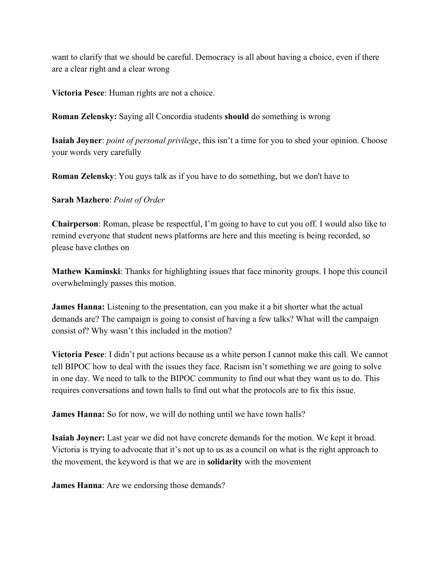want to clarify that we should be careful. Democracy is all about having a choice, even if there are a clear right and a clear wrong

**Victoria Pesce**: Human rights are not a choice.

**Roman Zelensky:** Saying all Concordia students **should** do something is wrong

**Isaiah Joyner**: *point of personal privilege*, this isn't a time for you to shed your opinion. Choose your words very carefully

**Roman Zelensky**: You guys talk as if you have to do something, but we don't have to

**Sarah Mazhero**: *Point of Order*

**Chairperson**: Roman, please be respectful, I'm going to have to cut you off. I would also like to remind everyone that student news platforms are here and this meeting is being recorded, so please have clothes on

**Mathew Kaminski**: Thanks for highlighting issues that face minority groups. I hope this council overwhelmingly passes this motion.

**James Hanna:** Listening to the presentation, can you make it a bit shorter what the actual demands are? The campaign is going to consist of having a few talks? What will the campaign consist of? Why wasn't this included in the motion?

**Victoria Pesce**: I didn't put actions because as a white person I cannot make this call. We cannot tell BIPOC how to deal with the issues they face. Racism isn't something we are going to solve in one day. We need to talk to the BIPOC community to find out what they want us to do. This requires conversations and town halls to find out what the protocols are to fix this issue.

**James Hanna:** So for now, we will do nothing until we have town halls?

**Isaiah Joyner:** Last year we did not have concrete demands for the motion. We kept it broad. Victoria is trying to advocate that it's not up to us as a council on what is the right approach to the movement, the keyword is that we are in **solidarity** with the movement

**James Hanna**: Are we endorsing those demands?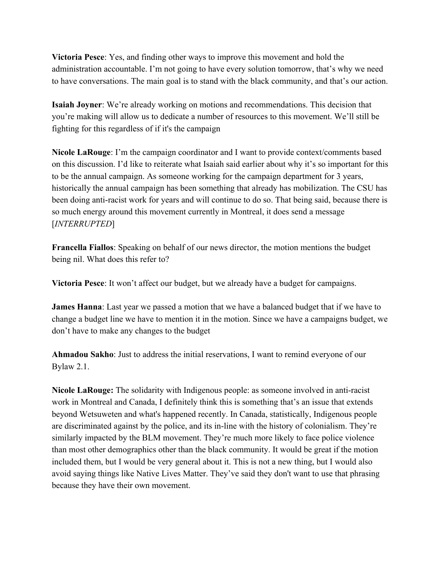**Victoria Pesce**: Yes, and finding other ways to improve this movement and hold the administration accountable. I'm not going to have every solution tomorrow, that's why we need to have conversations. The main goal is to stand with the black community, and that's our action.

**Isaiah Joyner**: We're already working on motions and recommendations. This decision that you're making will allow us to dedicate a number of resources to this movement. We'll still be fighting for this regardless of if it's the campaign

**Nicole LaRouge**: I'm the campaign coordinator and I want to provide context/comments based on this discussion. I'd like to reiterate what Isaiah said earlier about why it's so important for this to be the annual campaign. As someone working for the campaign department for 3 years, historically the annual campaign has been something that already has mobilization. The CSU has been doing anti-racist work for years and will continue to do so. That being said, because there is so much energy around this movement currently in Montreal, it does send a message [*INTERRUPTED*]

**Francella Fiallos**: Speaking on behalf of our news director, the motion mentions the budget being nil. What does this refer to?

**Victoria Pesce**: It won't affect our budget, but we already have a budget for campaigns.

**James Hanna**: Last year we passed a motion that we have a balanced budget that if we have to change a budget line we have to mention it in the motion. Since we have a campaigns budget, we don't have to make any changes to the budget

**Ahmadou Sakho**: Just to address the initial reservations, I want to remind everyone of our Bylaw 2.1.

**Nicole LaRouge:** The solidarity with Indigenous people: as someone involved in anti-racist work in Montreal and Canada, I definitely think this is something that's an issue that extends beyond Wetsuweten and what's happened recently. In Canada, statistically, Indigenous people are discriminated against by the police, and its in-line with the history of colonialism. They're similarly impacted by the BLM movement. They're much more likely to face police violence than most other demographics other than the black community. It would be great if the motion included them, but I would be very general about it. This is not a new thing, but I would also avoid saying things like Native Lives Matter. They've said they don't want to use that phrasing because they have their own movement.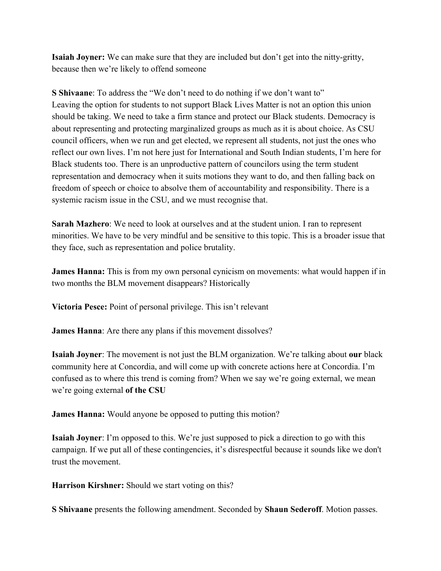**Isaiah Joyner:** We can make sure that they are included but don't get into the nitty-gritty, because then we're likely to offend someone

**S Shivaane**: To address the "We don't need to do nothing if we don't want to" Leaving the option for students to not support Black Lives Matter is not an option this union should be taking. We need to take a firm stance and protect our Black students. Democracy is about representing and protecting marginalized groups as much as it is about choice. As CSU council officers, when we run and get elected, we represent all students, not just the ones who reflect our own lives. I'm not here just for International and South Indian students, I'm here for Black students too. There is an unproductive pattern of councilors using the term student representation and democracy when it suits motions they want to do, and then falling back on freedom of speech or choice to absolve them of accountability and responsibility. There is a systemic racism issue in the CSU, and we must recognise that.

**Sarah Mazhero**: We need to look at ourselves and at the student union. I ran to represent minorities. We have to be very mindful and be sensitive to this topic. This is a broader issue that they face, such as representation and police brutality.

**James Hanna:** This is from my own personal cynicism on movements: what would happen if in two months the BLM movement disappears? Historically

**Victoria Pesce:** Point of personal privilege. This isn't relevant

**James Hanna**: Are there any plans if this movement dissolves?

**Isaiah Joyner**: The movement is not just the BLM organization. We're talking about **our** black community here at Concordia, and will come up with concrete actions here at Concordia. I'm confused as to where this trend is coming from? When we say we're going external, we mean we're going external **of the CSU**

**James Hanna:** Would anyone be opposed to putting this motion?

**Isaiah Joyner**: I'm opposed to this. We're just supposed to pick a direction to go with this campaign. If we put all of these contingencies, it's disrespectful because it sounds like we don't trust the movement.

**Harrison Kirshner:** Should we start voting on this?

**S Shivaane** presents the following amendment. Seconded by **Shaun Sederoff**. Motion passes.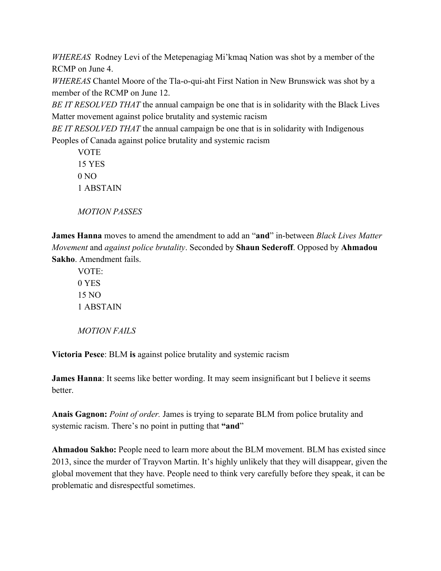*WHEREAS* Rodney Levi of the Metepenagiag Mi'kmaq Nation was shot by a member of the RCMP on June 4.

*WHEREAS* Chantel Moore of the Tla-o-qui-aht First Nation in New Brunswick was shot by a member of the RCMP on June 12.

*BE IT RESOLVED THAT* the annual campaign be one that is in solidarity with the Black Lives Matter movement against police brutality and systemic racism

*BE IT RESOLVED THAT* the annual campaign be one that is in solidarity with Indigenous Peoples of Canada against police brutality and systemic racism

**VOTE** 15 YES  $0 NQ$ 1 ABSTAIN

*MOTION PASSES*

**James Hanna** moves to amend the amendment to add an "**and**" in-between *Black Lives Matter Movement* and *against police brutality*. Seconded by **Shaun Sederoff**. Opposed by **Ahmadou Sakho**. Amendment fails.

VOTE: 0 YES 15 NO 1 ABSTAIN

*MOTION FAILS*

**Victoria Pesce**: BLM **is** against police brutality and systemic racism

**James Hanna**: It seems like better wording. It may seem insignificant but I believe it seems **better** 

**Anais Gagnon:** *Point of order.* James is trying to separate BLM from police brutality and systemic racism. There's no point in putting that **"and**"

**Ahmadou Sakho:** People need to learn more about the BLM movement. BLM has existed since 2013, since the murder of Trayvon Martin. It's highly unlikely that they will disappear, given the global movement that they have. People need to think very carefully before they speak, it can be problematic and disrespectful sometimes.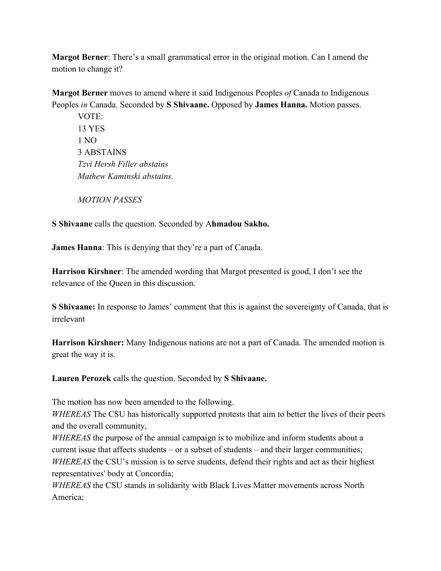**Margot Berner**: There's a small grammatical error in the original motion. Can I amend the motion to change it?

**Margot Berner** moves to amend where it said Indigenous Peoples *of* Canada to Indigenous Peoples *in* Canada. Seconded by **S Shivaane.** Opposed by **James Hanna.** Motion passes.

VOTE: 13 YES 1 NO 3 ABSTAINS *Tzvi Hersh Filler abstains Mathew Kaminski abstains.*

*MOTION PASSES*

**S Shivaane** calls the question. Seconded by A**hmadou Sakho.**

**James Hanna**: This is denying that they're a part of Canada.

**Harrison Kirshner**: The amended wording that Margot presented is good, I don't see the relevance of the Queen in this discussion.

**S Shivaane:** In response to James' comment that this is against the sovereignty of Canada, that is irrelevant

**Harrison Kirshner:** Many Indigenous nations are not a part of Canada. The amended motion is great the way it is.

**Lauren Perozek** calls the question. Seconded by **S Shivaane.**

The motion has now been amended to the following.

*WHEREAS* The CSU has historically supported protests that aim to better the lives of their peers and the overall community,

*WHEREAS* the purpose of the annual campaign is to mobilize and inform students about a current issue that affects students – or a subset of students – and their larger communities; *WHEREAS* the CSU's mission is to serve students, defend their rights and act as their highest representatives' body at Concordia;

*WHEREAS* the CSU stands in solidarity with Black Lives Matter movements across North America;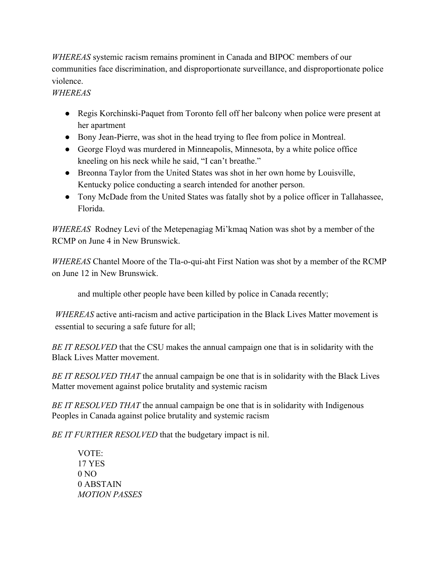*WHEREAS* systemic racism remains prominent in Canada and BIPOC members of our communities face discrimination, and disproportionate surveillance, and disproportionate police violence.

# *WHEREAS*

- Regis Korchinski-Paquet from Toronto fell off her balcony when police were present at her apartment
- Bony Jean-Pierre, was shot in the head trying to flee from police in Montreal.
- George Floyd was murdered in Minneapolis, Minnesota, by a white police office kneeling on his neck while he said, "I can't breathe."
- Breonna Taylor from the United States was shot in her own home by Louisville, Kentucky police conducting a search intended for another person.
- Tony McDade from the United States was fatally shot by a police officer in Tallahassee, Florida.

*WHEREAS* Rodney Levi of the Metepenagiag Mi'kmaq Nation was shot by a member of the RCMP on June 4 in New Brunswick.

*WHEREAS* Chantel Moore of the Tla-o-qui-aht First Nation was shot by a member of the RCMP on June 12 in New Brunswick.

and multiple other people have been killed by police in Canada recently;

*WHEREAS* active anti-racism and active participation in the Black Lives Matter movement is essential to securing a safe future for all;

*BE IT RESOLVED* that the CSU makes the annual campaign one that is in solidarity with the Black Lives Matter movement.

*BE IT RESOLVED THAT* the annual campaign be one that is in solidarity with the Black Lives Matter movement against police brutality and systemic racism

*BE IT RESOLVED THAT* the annual campaign be one that is in solidarity with Indigenous Peoples in Canada against police brutality and systemic racism

*BE IT FURTHER RESOLVED* that the budgetary impact is nil.

VOTE: 17 YES  $0 NQ$ 0 ABSTAIN *MOTION PASSES*